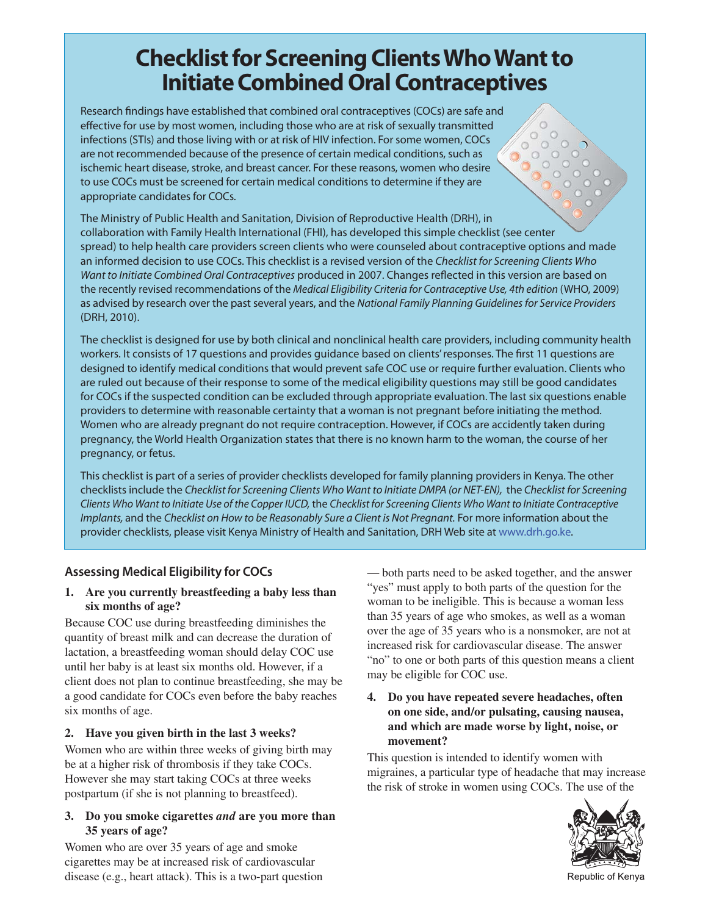# **Checklist for Screening Clients Who Want to Initiate Combined Oral Contraceptives**

Research findings have established that combined oral contraceptives (COCs) are safe and effective for use by most women, including those who are at risk of sexually transmitted infections (STIs) and those living with or at risk of HIV infection. For some women, COCs are not recommended because of the presence of certain medical conditions, such as ischemic heart disease, stroke, and breast cancer. For these reasons, women who desire to use COCs must be screened for certain medical conditions to determine if they are appropriate candidates for COCs.

The Ministry of Public Health and Sanitation, Division of Reproductive Health (DRH), in collaboration with Family Health International (FHI), has developed this simple checklist (see center spread) to help health care providers screen clients who were counseled about contraceptive options and made an informed decision to use COCs. This checklist is a revised version of the Checklist for Screening Clients Who Want to Initiate Combined Oral Contraceptives produced in 2007. Changes reflected in this version are based on the recently revised recommendations of the Medical Eligibility Criteria for Contraceptive Use, 4th edition (WHO, 2009) as advised by research over the past several years, and the National Family Planning Guidelines for Service Providers (DRH, 2010).

The checklist is designed for use by both clinical and nonclinical health care providers, including community health workers. It consists of 17 questions and provides guidance based on clients' responses. The first 11 questions are designed to identify medical conditions that would prevent safe COC use or require further evaluation. Clients who are ruled out because of their response to some of the medical eligibility questions may still be good candidates for COCs if the suspected condition can be excluded through appropriate evaluation. The last six questions enable providers to determine with reasonable certainty that a woman is not pregnant before initiating the method. Women who are already pregnant do not require contraception. However, if COCs are accidently taken during pregnancy, the World Health Organization states that there is no known harm to the woman, the course of her pregnancy, or fetus.

This checklist is part of a series of provider checklists developed for family planning providers in Kenya. The other checklists include the Checklist for Screening Clients Who Want to Initiate DMPA (or NET-EN), the Checklist for Screening Clients Who Want to Initiate Use of the Copper IUCD, the Checklist for Screening Clients Who Want to Initiate Contraceptive Implants, and the Checklist on How to be Reasonably Sure a Client is Not Pregnant. For more information about the provider checklists, please visit Kenya Ministry of Health and Sanitation, DRH Web site at www.drh.go.ke.

## **Assessing Medical Eligibility for COCs**

#### **1. Are you currently breastfeeding a baby less than six months of age?**

Because COC use during breastfeeding diminishes the quantity of breast milk and can decrease the duration of lactation, a breastfeeding woman should delay COC use until her baby is at least six months old. However, if a client does not plan to continue breastfeeding, she may be a good candidate for COCs even before the baby reaches six months of age.

#### **2. Have you given birth in the last 3 weeks?**

Women who are within three weeks of giving birth may be at a higher risk of thrombosis if they take COCs. However she may start taking COCs at three weeks postpartum (if she is not planning to breastfeed).

#### **3. Do you smoke cigarettes** *and* **are you more than 35 years of age?**

Women who are over 35 years of age and smoke cigarettes may be at increased risk of cardiovascular disease (e.g., heart attack). This is a two-part question

— both parts need to be asked together, and the answer "yes" must apply to both parts of the question for the woman to be ineligible. This is because a woman less than 35 years of age who smokes, as well as a woman over the age of 35 years who is a nonsmoker, are not at increased risk for cardiovascular disease. The answer "no" to one or both parts of this question means a client may be eligible for COC use.

 $\circ$ 

#### **4. Do you have repeated severe headaches, often on one side, and/or pulsating, causing nausea, and which are made worse by light, noise, or movement?**

This question is intended to identify women with migraines, a particular type of headache that may increase the risk of stroke in women using COCs. The use of the



Republic of Kenya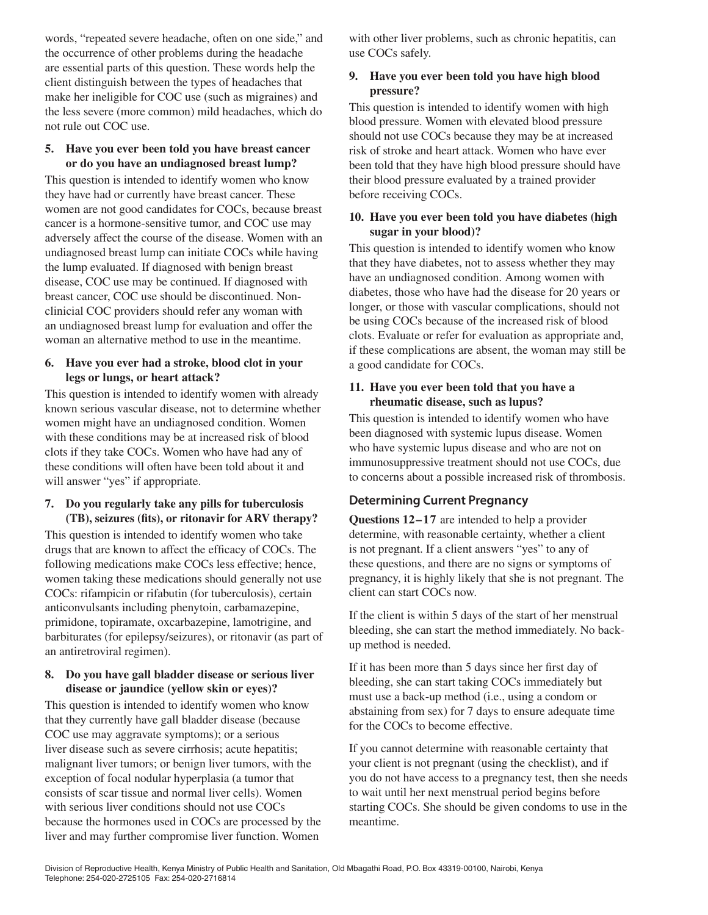words, "repeated severe headache, often on one side," and the occurrence of other problems during the headache are essential parts of this question. These words help the client distinguish between the types of headaches that make her ineligible for COC use (such as migraines) and the less severe (more common) mild headaches, which do not rule out COC use.

#### **5. Have you ever been told you have breast cancer or do you have an undiagnosed breast lump?**

This question is intended to identify women who know they have had or currently have breast cancer. These women are not good candidates for COCs, because breast cancer is a hormone-sensitive tumor, and COC use may adversely affect the course of the disease. Women with an undiagnosed breast lump can initiate COCs while having the lump evaluated. If diagnosed with benign breast disease, COC use may be continued. If diagnosed with breast cancer, COC use should be discontinued. Nonclinicial COC providers should refer any woman with an undiagnosed breast lump for evaluation and offer the woman an alternative method to use in the meantime.

#### **6. Have you ever had a stroke, blood clot in your legs or lungs, or heart attack?**

This question is intended to identify women with already known serious vascular disease, not to determine whether women might have an undiagnosed condition. Women with these conditions may be at increased risk of blood clots if they take COCs. Women who have had any of these conditions will often have been told about it and will answer "yes" if appropriate.

#### **7. Do you regularly take any pills for tuberculosis (TB), seizures (fits), or ritonavir for ARV therapy?**

This question is intended to identify women who take drugs that are known to affect the efficacy of COCs. The following medications make COCs less effective; hence, women taking these medications should generally not use COCs: rifampicin or rifabutin (for tuberculosis), certain anticonvulsants including phenytoin, carbamazepine, primidone, topiramate, oxcarbazepine, lamotrigine, and barbiturates (for epilepsy/seizures), or ritonavir (as part of an antiretroviral regimen).

#### **8. Do you have gall bladder disease or serious liver disease or jaundice (yellow skin or eyes)?**

This question is intended to identify women who know that they currently have gall bladder disease (because COC use may aggravate symptoms); or a serious liver disease such as severe cirrhosis; acute hepatitis; malignant liver tumors; or benign liver tumors, with the exception of focal nodular hyperplasia (a tumor that consists of scar tissue and normal liver cells). Women with serious liver conditions should not use COCs because the hormones used in COCs are processed by the liver and may further compromise liver function. Women

with other liver problems, such as chronic hepatitis, can use COCs safely.

#### **9. Have you ever been told you have high blood pressure?**

This question is intended to identify women with high blood pressure. Women with elevated blood pressure should not use COCs because they may be at increased risk of stroke and heart attack. Women who have ever been told that they have high blood pressure should have their blood pressure evaluated by a trained provider before receiving COCs.

#### **10. Have you ever been told you have diabetes (high sugar in your blood)?**

This question is intended to identify women who know that they have diabetes, not to assess whether they may have an undiagnosed condition. Among women with diabetes, those who have had the disease for 20 years or longer, or those with vascular complications, should not be using COCs because of the increased risk of blood clots. Evaluate or refer for evaluation as appropriate and, if these complications are absent, the woman may still be a good candidate for COCs.

#### **11. Have you ever been told that you have a rheumatic disease, such as lupus?**

This question is intended to identify women who have been diagnosed with systemic lupus disease. Women who have systemic lupus disease and who are not on immunosuppressive treatment should not use COCs, due to concerns about a possible increased risk of thrombosis.

## **Determining Current Pregnancy**

**Questions 12–17** are intended to help a provider determine, with reasonable certainty, whether a client is not pregnant. If a client answers "yes" to any of these questions, and there are no signs or symptoms of pregnancy, it is highly likely that she is not pregnant. The client can start COCs now.

If the client is within 5 days of the start of her menstrual bleeding, she can start the method immediately. No backup method is needed.

If it has been more than 5 days since her first day of bleeding, she can start taking COCs immediately but must use a back-up method (i.e., using a condom or abstaining from sex) for 7 days to ensure adequate time for the COCs to become effective.

If you cannot determine with reasonable certainty that your client is not pregnant (using the checklist), and if you do not have access to a pregnancy test, then she needs to wait until her next menstrual period begins before starting COCs. She should be given condoms to use in the meantime.